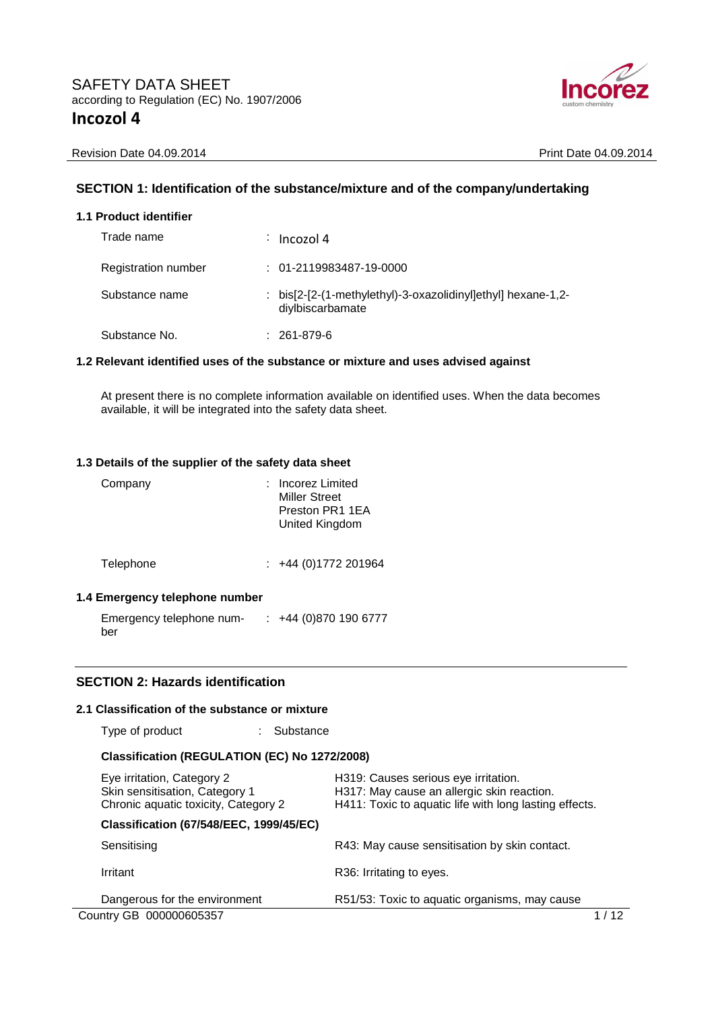

Revision Date 04.09.2014 **Print Date 04.09.2014** 

## **SECTION 1: Identification of the substance/mixture and of the company/undertaking**

|  | 1.1 Product identifier |
|--|------------------------|
|--|------------------------|

| Trade name                 | $\frac{1}{2}$ Incozol 4                                                          |
|----------------------------|----------------------------------------------------------------------------------|
| <b>Registration number</b> | $: 01 - 2119983487 - 19 - 0000$                                                  |
| Substance name             | : bis[2-[2-(1-methylethyl)-3-oxazolidinyl]ethyl] hexane-1,2-<br>diylbiscarbamate |
| Substance No.              | $: 261-879-6$                                                                    |

## **1.2 Relevant identified uses of the substance or mixture and uses advised against**

At present there is no complete information available on identified uses. When the data becomes available, it will be integrated into the safety data sheet.

#### **1.3 Details of the supplier of the safety data sheet**

| Company   | : Incorez Limited<br><b>Miller Street</b><br>Preston PR1 1EA<br>United Kingdom |
|-----------|--------------------------------------------------------------------------------|
| Telephone | $\div$ +44 (0)1772 201964                                                      |

# **1.4 Emergency telephone number**

Emergency telephone num-: +44 (0)870 190 6777 ber

# **SECTION 2: Hazards identification**

## **2.1 Classification of the substance or mixture**

Type of product : Substance

# **Classification (REGULATION (EC) No 1272/2008)**

| Eye irritation, Category 2<br>Skin sensitisation, Category 1<br>Chronic aquatic toxicity, Category 2 | H319: Causes serious eye irritation.<br>H317: May cause an allergic skin reaction.<br>H411: Toxic to aquatic life with long lasting effects. |  |
|------------------------------------------------------------------------------------------------------|----------------------------------------------------------------------------------------------------------------------------------------------|--|
| <b>Classification (67/548/EEC, 1999/45/EC)</b>                                                       |                                                                                                                                              |  |
| Sensitising                                                                                          | R43: May cause sensitisation by skin contact.                                                                                                |  |
| Irritant                                                                                             | R36: Irritating to eyes.                                                                                                                     |  |
| Dangerous for the environment                                                                        | R51/53: Toxic to aquatic organisms, may cause                                                                                                |  |
| Country GB 000000605357                                                                              |                                                                                                                                              |  |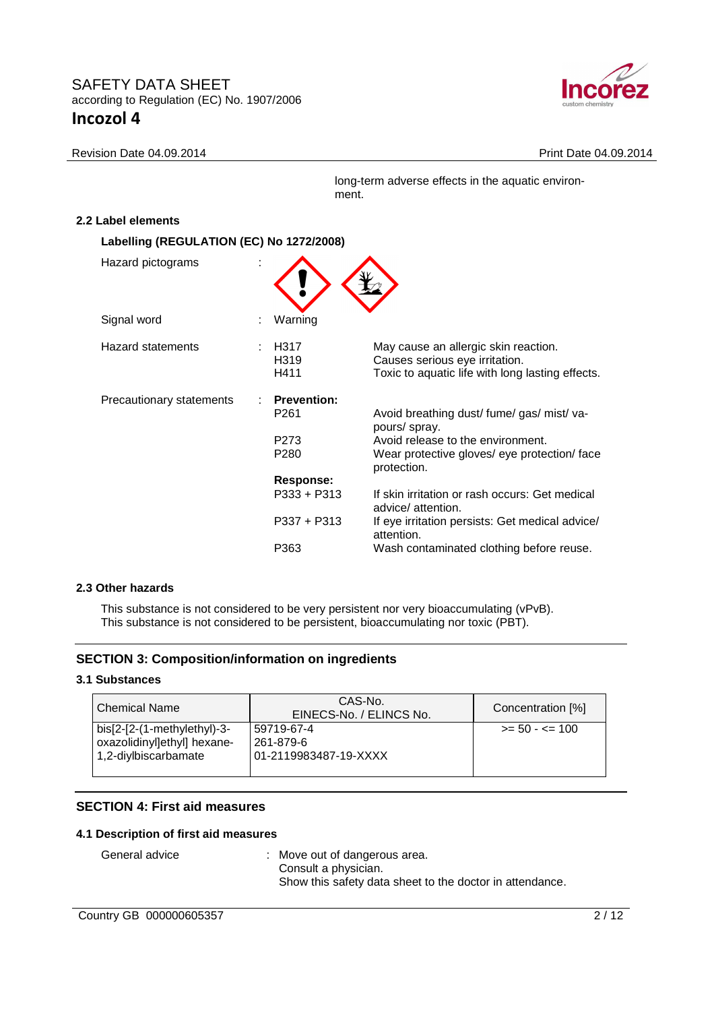

#### Revision Date 04.09.2014 **Print Date 04.09.2014**

long-term adverse effects in the aquatic environment.

#### **2.2 Label elements**

| Labelling (REGULATION (EC) No 1272/2008) |                                        |                                                                                                                            |
|------------------------------------------|----------------------------------------|----------------------------------------------------------------------------------------------------------------------------|
| Hazard pictograms                        |                                        |                                                                                                                            |
| Signal word                              | Warning                                |                                                                                                                            |
| <b>Hazard statements</b>                 | H317<br>H <sub>3</sub> 19<br>H411      | May cause an allergic skin reaction.<br>Causes serious eye irritation.<br>Toxic to aquatic life with long lasting effects. |
| Precautionary statements                 | <b>Prevention:</b><br>P <sub>261</sub> | Avoid breathing dust/fume/gas/mist/va-<br>pours/ spray.                                                                    |
|                                          | P <sub>273</sub><br>P <sub>280</sub>   | Avoid release to the environment.<br>Wear protective gloves/ eye protection/ face<br>protection.                           |
|                                          | Response:                              |                                                                                                                            |
|                                          | P333 + P313                            | If skin irritation or rash occurs: Get medical<br>advice/attention.                                                        |
|                                          | P337 + P313                            | If eye irritation persists: Get medical advice/<br>attention.                                                              |
|                                          | P363                                   | Wash contaminated clothing before reuse.                                                                                   |

#### **2.3 Other hazards**

This substance is not considered to be very persistent nor very bioaccumulating (vPvB). This substance is not considered to be persistent, bioaccumulating nor toxic (PBT).

## **SECTION 3: Composition/information on ingredients**

## **3.1 Substances**

| l Chemical Name                                                                    | CAS-No.<br>EINECS-No. / ELINCS No.               | Concentration [%] |
|------------------------------------------------------------------------------------|--------------------------------------------------|-------------------|
| bis[2-[2-(1-methylethyl)-3-<br>oxazolidinyllethyll hexane-<br>1,2-diylbiscarbamate | 59719-67-4<br>261-879-6<br>01-2119983487-19-XXXX | $>= 50 - 5 = 100$ |

## **SECTION 4: First aid measures**

## **4.1 Description of first aid measures**

General advice : Move out of dangerous area. Consult a physician. Show this safety data sheet to the doctor in attendance.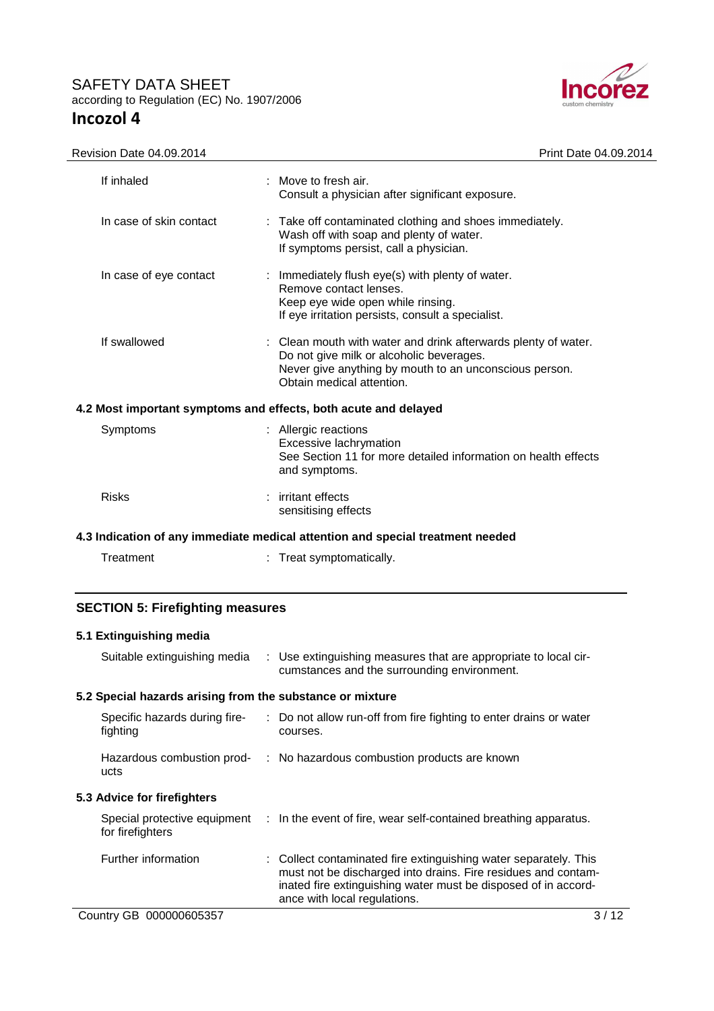

| Revision Date 04.09.2014                                                       | Print Date 04.09.2014                                                                                                                                                                             |  |
|--------------------------------------------------------------------------------|---------------------------------------------------------------------------------------------------------------------------------------------------------------------------------------------------|--|
| If inhaled                                                                     | $\therefore$ Move to fresh air.<br>Consult a physician after significant exposure.                                                                                                                |  |
| In case of skin contact                                                        | : Take off contaminated clothing and shoes immediately.<br>Wash off with soap and plenty of water.<br>If symptoms persist, call a physician.                                                      |  |
| In case of eye contact                                                         | : Immediately flush eye(s) with plenty of water.<br>Remove contact lenses.<br>Keep eye wide open while rinsing.<br>If eye irritation persists, consult a specialist.                              |  |
| If swallowed                                                                   | : Clean mouth with water and drink afterwards plenty of water.<br>Do not give milk or alcoholic beverages.<br>Never give anything by mouth to an unconscious person.<br>Obtain medical attention. |  |
| 4.2 Most important symptoms and effects, both acute and delayed                |                                                                                                                                                                                                   |  |
| Symptoms                                                                       | : Allergic reactions<br>Excessive lachrymation<br>See Section 11 for more detailed information on health effects<br>and symptoms.                                                                 |  |
| <b>Risks</b>                                                                   | irritant effects<br>sensitising effects                                                                                                                                                           |  |
| 4.3 Indication of any immediate medical attention and special treatment needed |                                                                                                                                                                                                   |  |

| Treatment | Treat symptomatically. |
|-----------|------------------------|
|-----------|------------------------|

# **SECTION 5: Firefighting measures**

# **5.1 Extinguishing media**

| Suitable extinguishing media                              | : Use extinguishing measures that are appropriate to local cir-<br>cumstances and the surrounding environment.                                                                                                                      |  |
|-----------------------------------------------------------|-------------------------------------------------------------------------------------------------------------------------------------------------------------------------------------------------------------------------------------|--|
| 5.2 Special hazards arising from the substance or mixture |                                                                                                                                                                                                                                     |  |
| Specific hazards during fire-<br>fighting                 | : Do not allow run-off from fire fighting to enter drains or water<br>courses.                                                                                                                                                      |  |
| Hazardous combustion prod-<br>ucts                        | : No hazardous combustion products are known                                                                                                                                                                                        |  |
| 5.3 Advice for firefighters                               |                                                                                                                                                                                                                                     |  |
| Special protective equipment<br>for firefighters          | $\therefore$ In the event of fire, wear self-contained breathing apparatus.                                                                                                                                                         |  |
| Further information                                       | : Collect contaminated fire extinguishing water separately. This<br>must not be discharged into drains. Fire residues and contam-<br>inated fire extinguishing water must be disposed of in accord-<br>ance with local regulations. |  |
| Country GB 000000605357                                   | 3/12                                                                                                                                                                                                                                |  |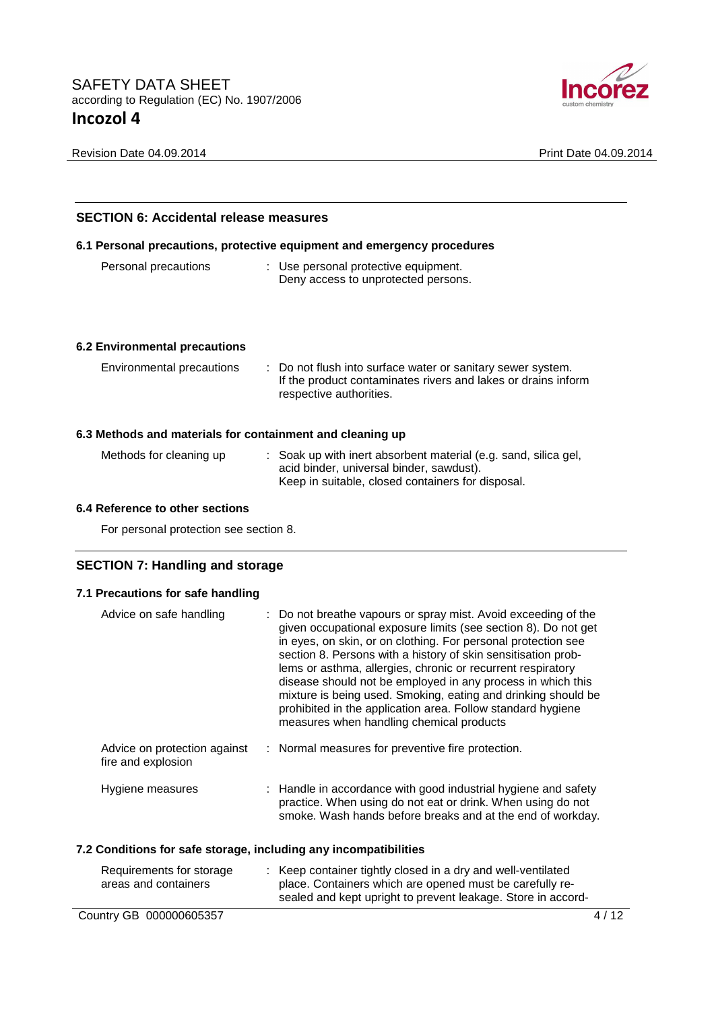

Revision Date 04.09.2014 **Print Date 04.09.2014** 

| <b>SECTION 6: Accidental release measures</b>             |                                                                                                                                                                  |  |
|-----------------------------------------------------------|------------------------------------------------------------------------------------------------------------------------------------------------------------------|--|
|                                                           | 6.1 Personal precautions, protective equipment and emergency procedures                                                                                          |  |
| Personal precautions                                      | : Use personal protective equipment.<br>Deny access to unprotected persons.                                                                                      |  |
| 6.2 Environmental precautions                             |                                                                                                                                                                  |  |
| Environmental precautions                                 | : Do not flush into surface water or sanitary sewer system.<br>If the product contaminates rivers and lakes or drains inform<br>respective authorities.          |  |
| 6.3 Methods and materials for containment and cleaning up |                                                                                                                                                                  |  |
| Methods for cleaning up                                   | : Soak up with inert absorbent material (e.g. sand, silica gel,<br>acid binder, universal binder, sawdust).<br>Keep in suitable, closed containers for disposal. |  |

# **6.4 Reference to other sections**

For personal protection see section 8.

# **SECTION 7: Handling and storage**

## **7.1 Precautions for safe handling**

| Advice on safe handling                            | : Do not breathe vapours or spray mist. Avoid exceeding of the<br>given occupational exposure limits (see section 8). Do not get<br>in eyes, on skin, or on clothing. For personal protection see<br>section 8. Persons with a history of skin sensitisation prob-<br>lems or asthma, allergies, chronic or recurrent respiratory<br>disease should not be employed in any process in which this<br>mixture is being used. Smoking, eating and drinking should be<br>prohibited in the application area. Follow standard hygiene<br>measures when handling chemical products |
|----------------------------------------------------|------------------------------------------------------------------------------------------------------------------------------------------------------------------------------------------------------------------------------------------------------------------------------------------------------------------------------------------------------------------------------------------------------------------------------------------------------------------------------------------------------------------------------------------------------------------------------|
| Advice on protection against<br>fire and explosion | : Normal measures for preventive fire protection.                                                                                                                                                                                                                                                                                                                                                                                                                                                                                                                            |
| Hygiene measures                                   | : Handle in accordance with good industrial hygiene and safety<br>practice. When using do not eat or drink. When using do not<br>smoke. Wash hands before breaks and at the end of workday.                                                                                                                                                                                                                                                                                                                                                                                  |

#### **7.2 Conditions for safe storage, including any incompatibilities**

| Requirements for storage<br>areas and containers | : Keep container tightly closed in a dry and well-ventilated<br>place. Containers which are opened must be carefully re-<br>sealed and kept upright to prevent leakage. Store in accord- |
|--------------------------------------------------|------------------------------------------------------------------------------------------------------------------------------------------------------------------------------------------|
| Country GB 000000605357                          | 4/12                                                                                                                                                                                     |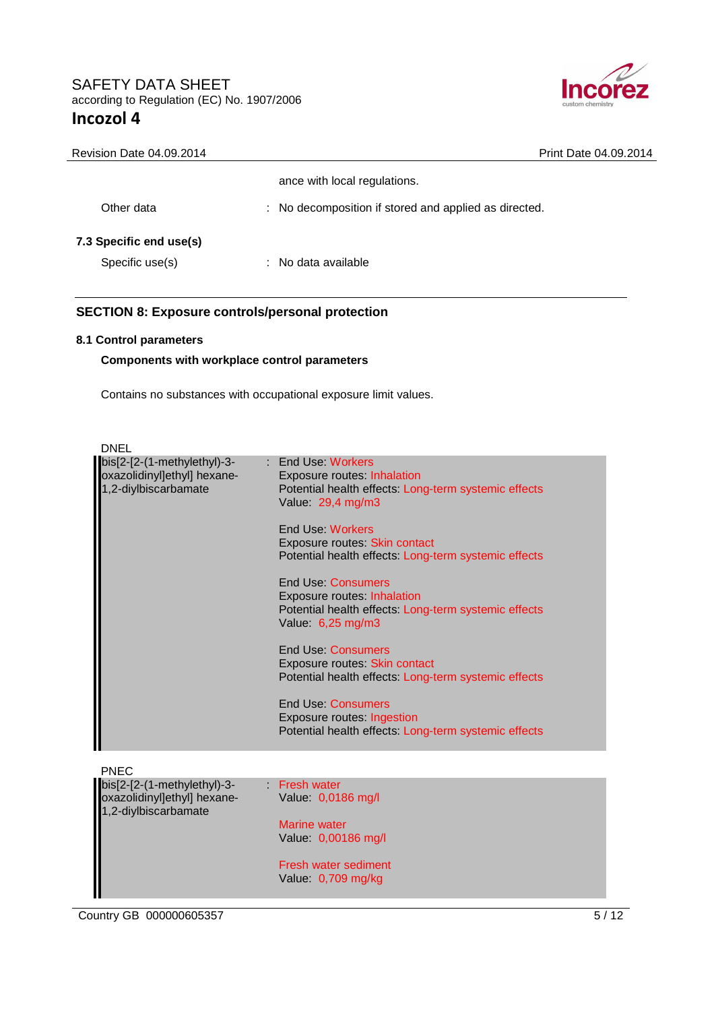

| Revision Date 04.09.2014 | Print Date 04.09.2014                                 |
|--------------------------|-------------------------------------------------------|
|                          | ance with local regulations.                          |
| Other data               | : No decomposition if stored and applied as directed. |
| 7.3 Specific end use(s)  |                                                       |
| Specific use(s)          | No data available<br>т.                               |

# **SECTION 8: Exposure controls/personal protection**

## **8.1 Control parameters**

 $\overline{\phantom{a}}$ 

#### **Components with workplace control parameters**

Contains no substances with occupational exposure limit values.

| <b>DNEL</b>                                                                        |                                                                                                                                              |
|------------------------------------------------------------------------------------|----------------------------------------------------------------------------------------------------------------------------------------------|
| bis[2-[2-(1-methylethyl)-3-<br>oxazolidinyl]ethyl] hexane-<br>1,2-diylbiscarbamate | : End Use: Workers<br><b>Exposure routes: Inhalation</b><br>Potential health effects: Long-term systemic effects<br>Value: 29,4 mg/m3        |
|                                                                                    | End Use: Workers<br>Exposure routes: Skin contact<br>Potential health effects: Long-term systemic effects                                    |
|                                                                                    | <b>End Use: Consumers</b><br><b>Exposure routes: Inhalation</b><br>Potential health effects: Long-term systemic effects<br>Value: 6,25 mg/m3 |
|                                                                                    | <b>End Use: Consumers</b><br>Exposure routes: Skin contact<br>Potential health effects: Long-term systemic effects                           |
|                                                                                    | <b>End Use: Consumers</b><br>Exposure routes: Ingestion<br>Potential health effects: Long-term systemic effects                              |
| <b>PNEC</b>                                                                        |                                                                                                                                              |
| bis[2-[2-(1-methylethyl)-3-<br>oxazolidinyl]ethyl] hexane-<br>1,2-diylbiscarbamate | Fresh water<br>Value: 0,0186 mg/l                                                                                                            |
|                                                                                    | <b>Marine water</b><br>Value: 0,00186 mg/l                                                                                                   |
|                                                                                    | Fresh water sediment<br>Value: 0,709 mg/kg                                                                                                   |
|                                                                                    |                                                                                                                                              |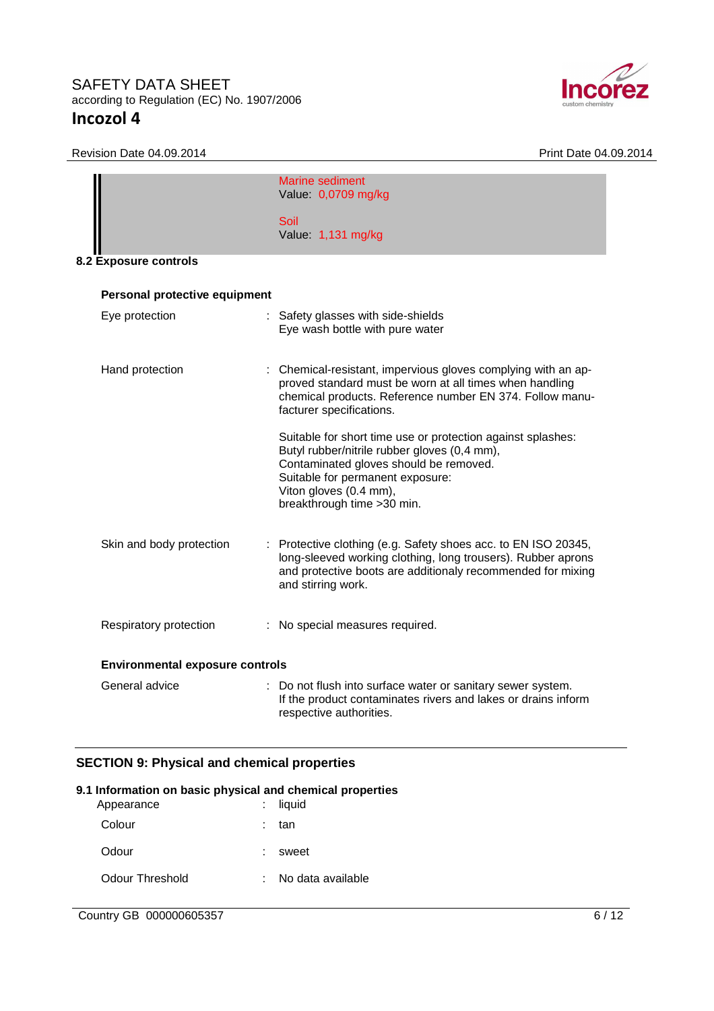

Revision Date 04.09.2014 **Print Date 04.09.2014** 

| Marine sediment<br>Value: 0,0709 mg/kg<br>Soil<br>Value: 1,131 mg/kg<br>Personal protective equipment<br>Eye protection<br>: Safety glasses with side-shields<br>Eye wash bottle with pure water<br>Hand protection<br>: Chemical-resistant, impervious gloves complying with an ap-<br>proved standard must be worn at all times when handling<br>chemical products. Reference number EN 374. Follow manu-<br>facturer specifications.<br>Suitable for short time use or protection against splashes:<br>Butyl rubber/nitrile rubber gloves (0,4 mm),<br>Contaminated gloves should be removed.<br>Suitable for permanent exposure:<br>Viton gloves (0.4 mm),<br>breakthrough time > 30 min.<br>Skin and body protection<br>: Protective clothing (e.g. Safety shoes acc. to EN ISO 20345,<br>long-sleeved working clothing, long trousers). Rubber aprons<br>and protective boots are additionaly recommended for mixing<br>and stirring work.<br>Respiratory protection<br>: No special measures required. |                                        |  |
|---------------------------------------------------------------------------------------------------------------------------------------------------------------------------------------------------------------------------------------------------------------------------------------------------------------------------------------------------------------------------------------------------------------------------------------------------------------------------------------------------------------------------------------------------------------------------------------------------------------------------------------------------------------------------------------------------------------------------------------------------------------------------------------------------------------------------------------------------------------------------------------------------------------------------------------------------------------------------------------------------------------|----------------------------------------|--|
| 8.2 Exposure controls                                                                                                                                                                                                                                                                                                                                                                                                                                                                                                                                                                                                                                                                                                                                                                                                                                                                                                                                                                                         |                                        |  |
|                                                                                                                                                                                                                                                                                                                                                                                                                                                                                                                                                                                                                                                                                                                                                                                                                                                                                                                                                                                                               |                                        |  |
|                                                                                                                                                                                                                                                                                                                                                                                                                                                                                                                                                                                                                                                                                                                                                                                                                                                                                                                                                                                                               |                                        |  |
|                                                                                                                                                                                                                                                                                                                                                                                                                                                                                                                                                                                                                                                                                                                                                                                                                                                                                                                                                                                                               |                                        |  |
|                                                                                                                                                                                                                                                                                                                                                                                                                                                                                                                                                                                                                                                                                                                                                                                                                                                                                                                                                                                                               |                                        |  |
|                                                                                                                                                                                                                                                                                                                                                                                                                                                                                                                                                                                                                                                                                                                                                                                                                                                                                                                                                                                                               |                                        |  |
|                                                                                                                                                                                                                                                                                                                                                                                                                                                                                                                                                                                                                                                                                                                                                                                                                                                                                                                                                                                                               |                                        |  |
|                                                                                                                                                                                                                                                                                                                                                                                                                                                                                                                                                                                                                                                                                                                                                                                                                                                                                                                                                                                                               |                                        |  |
|                                                                                                                                                                                                                                                                                                                                                                                                                                                                                                                                                                                                                                                                                                                                                                                                                                                                                                                                                                                                               |                                        |  |
|                                                                                                                                                                                                                                                                                                                                                                                                                                                                                                                                                                                                                                                                                                                                                                                                                                                                                                                                                                                                               | <b>Environmental exposure controls</b> |  |
| General advice<br>: Do not flush into surface water or sanitary sewer system.<br>If the product contaminates rivers and lakes or drains inform<br>respective authorities.                                                                                                                                                                                                                                                                                                                                                                                                                                                                                                                                                                                                                                                                                                                                                                                                                                     |                                        |  |

# **SECTION 9: Physical and chemical properties**

| 9.1 Information on basic physical and chemical properties<br>liquid |
|---------------------------------------------------------------------|
| tan                                                                 |
| sweet                                                               |
| No data available                                                   |
|                                                                     |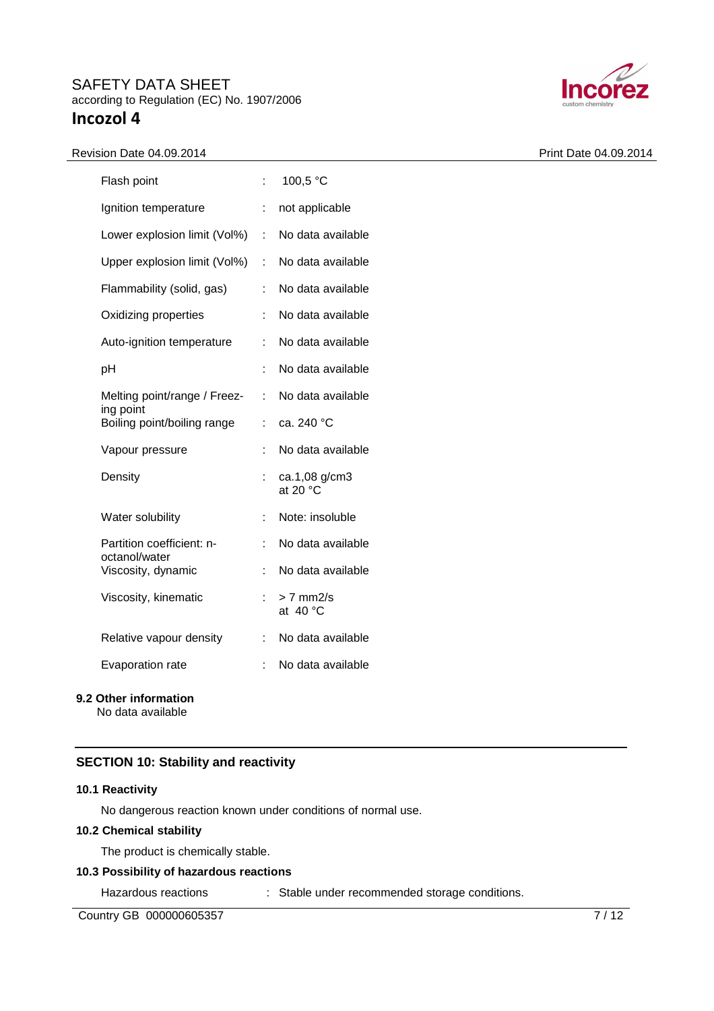#### Revision Date 04.09.2014 **Print Date 04.09.2014**

| Flash point                                | t. | 100,5 °C                            |
|--------------------------------------------|----|-------------------------------------|
| Ignition temperature                       | ÷  | not applicable                      |
| Lower explosion limit (Vol%)               | ÷. | No data available                   |
| Upper explosion limit (Vol%)               | ÷. | No data available                   |
| Flammability (solid, gas)                  |    | No data available                   |
| Oxidizing properties                       |    | No data available                   |
| Auto-ignition temperature                  | t  | No data available                   |
| рH                                         |    | No data available                   |
| Melting point/range / Freez-               | ÷  | No data available                   |
| ing point<br>Boiling point/boiling range   | ÷. | ca. 240 °C                          |
| Vapour pressure                            |    | No data available                   |
| Density                                    | ÷  | ca.1,08 g/cm3<br>at 20 $^{\circ}$ C |
| Water solubility                           | İ. | Note: insoluble                     |
| Partition coefficient: n-<br>octanol/water | ÷  | No data available                   |
| Viscosity, dynamic                         |    | No data available                   |
| Viscosity, kinematic                       |    | $> 7$ mm $2/s$<br>at $40^{\circ}$ C |
| Relative vapour density                    |    | No data available                   |
| Evaporation rate                           |    | No data available                   |
|                                            |    |                                     |

# **9.2 Other information**

No data available

## **SECTION 10: Stability and reactivity**

#### **10.1 Reactivity**

No dangerous reaction known under conditions of normal use.

## **10.2 Chemical stability**

The product is chemically stable.

# **10.3 Possibility of hazardous reactions**

Hazardous reactions : Stable under recommended storage conditions.

Country GB 000000605357 7/12

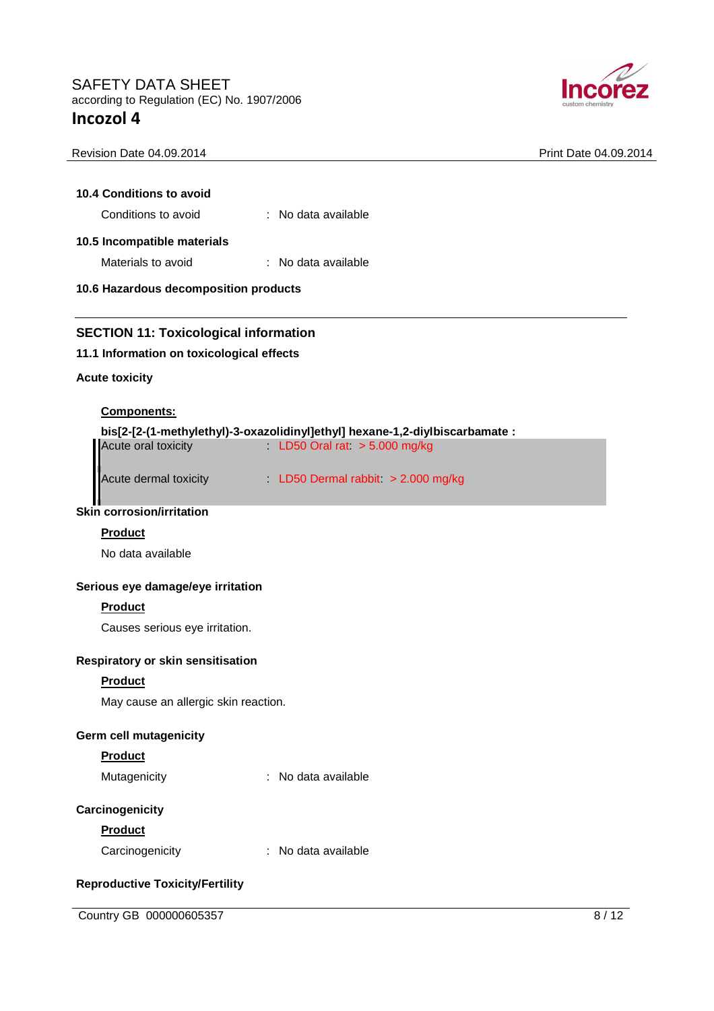

| 10.4 Conditions to avoid                                                                                                                  |                                                                              |  |
|-------------------------------------------------------------------------------------------------------------------------------------------|------------------------------------------------------------------------------|--|
| Conditions to avoid                                                                                                                       | : No data available                                                          |  |
| 10.5 Incompatible materials                                                                                                               |                                                                              |  |
| Materials to avoid                                                                                                                        | $\therefore$ No data available                                               |  |
| 10.6 Hazardous decomposition products                                                                                                     |                                                                              |  |
|                                                                                                                                           |                                                                              |  |
|                                                                                                                                           |                                                                              |  |
|                                                                                                                                           |                                                                              |  |
|                                                                                                                                           |                                                                              |  |
|                                                                                                                                           |                                                                              |  |
| <b>Components:</b>                                                                                                                        |                                                                              |  |
|                                                                                                                                           | bis[2-[2-(1-methylethyl)-3-oxazolidinyl]ethyl] hexane-1,2-diylbiscarbamate : |  |
| <b>SECTION 11: Toxicological information</b><br>11.1 Information on toxicological effects<br><b>Acute toxicity</b><br>Acute oral toxicity | LD50 Oral rat $> 5.000$ mg/kg                                                |  |

Revision Date 04.09.2014 **Print Date 04.09.2014** 

# **Skin corrosion/irritation**

#### **Product**

No data available

## **Serious eye damage/eye irritation**

#### **Product**

Causes serious eye irritation.

## **Respiratory or skin sensitisation**

#### **Product**

May cause an allergic skin reaction.

#### **Germ cell mutagenicity**

## **Product**

| Mutagenicity | No data available |
|--------------|-------------------|
|--------------|-------------------|

#### **Carcinogenicity**

#### **Product**

| Carcinogenicity | No data available |
|-----------------|-------------------|
|-----------------|-------------------|

# **Reproductive Toxicity/Fertility**

Country GB 000000605357 8/12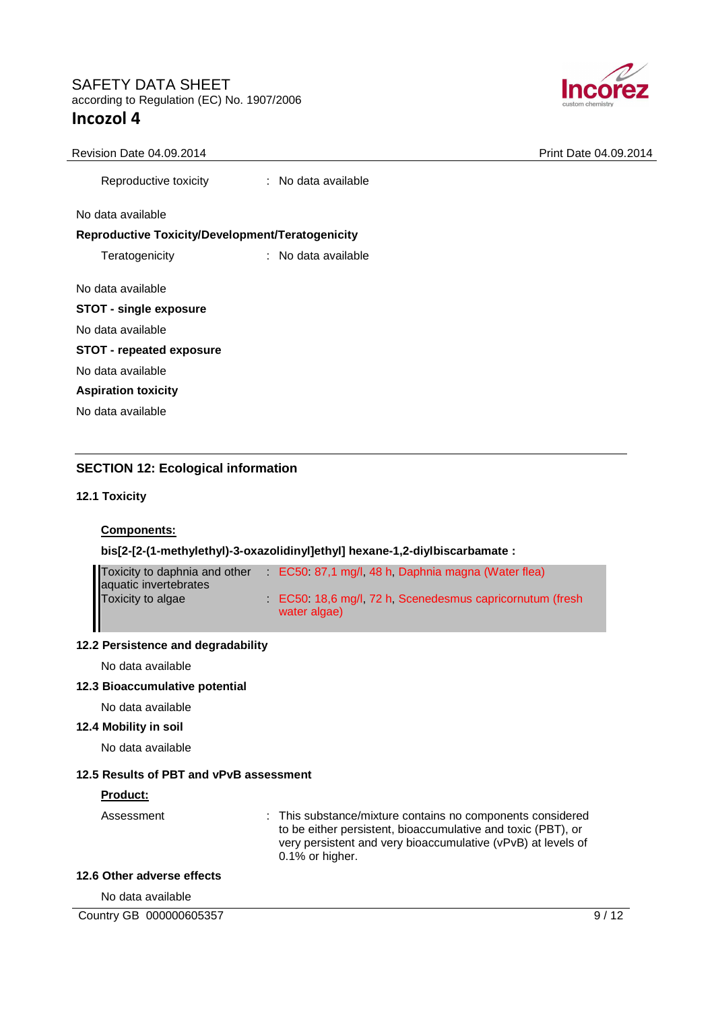

#### Revision Date 04.09.2014 **Print Date 04.09.2014** Print Date 04.09.2014

Reproductive toxicity : No data available

No data available

#### **Reproductive Toxicity/Development/Teratogenicity**

Teratogenicity : No data available

No data available

|                   | <b>STOT - single exposure</b> |
|-------------------|-------------------------------|
| No data available |                               |

# **STOT - repeated exposure**

No data available

**Aspiration toxicity** 

No data available

# **SECTION 12: Ecological information**

#### **12.1 Toxicity**

## **Components:**

## **bis[2-[2-(1-methylethyl)-3-oxazolidinyl]ethyl] hexane-1,2-diylbiscarbamate :**

| Toxicity to daphnia and other              | EC50 87,1 mg/l, 48 h, Daphnia magna (Water flea)                       |
|--------------------------------------------|------------------------------------------------------------------------|
| aquatic invertebrates<br>Toxicity to algae | EC50 18,6 mg/l, 72 h, Scenedesmus capricornutum (fresh<br>water algae) |

#### **12.2 Persistence and degradability**

No data available

#### **12.3 Bioaccumulative potential**

No data available

#### **12.4 Mobility in soil**

No data available

## **12.5 Results of PBT and vPvB assessment**

#### **Product:**

Assessment : This substance/mixture contains no components considered to be either persistent, bioaccumulative and toxic (PBT), or very persistent and very bioaccumulative (vPvB) at levels of 0.1% or higher.

#### **12.6 Other adverse effects**

No data available

Country GB 000000605357 9/12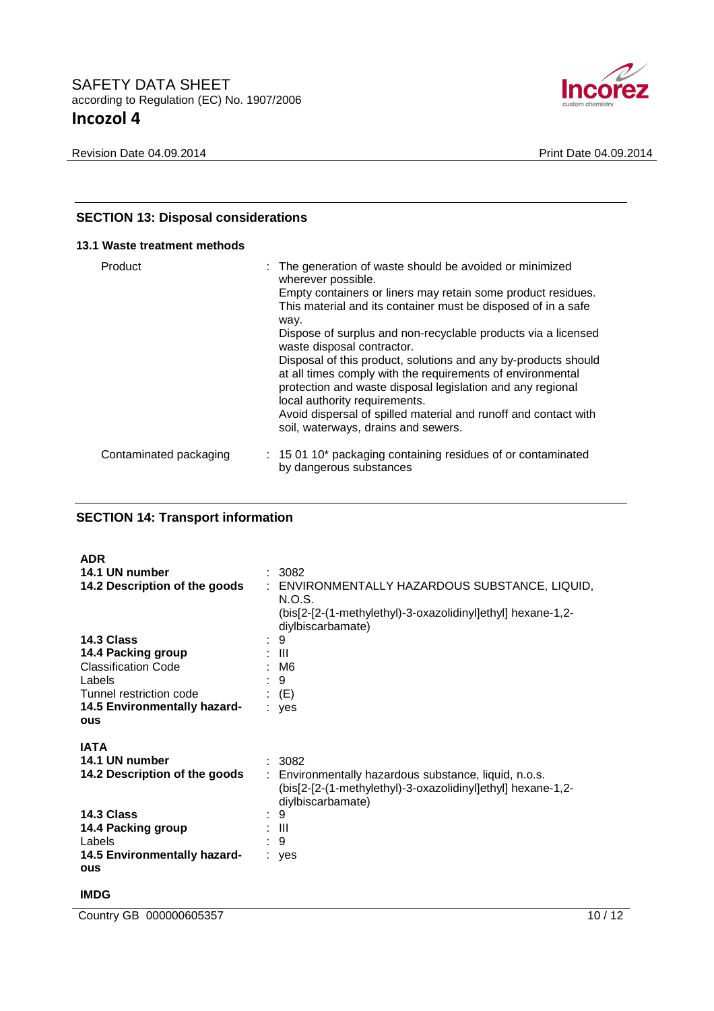

# **SECTION 13: Disposal considerations**

## **13.1 Waste treatment methods**

| Product                | : The generation of waste should be avoided or minimized<br>wherever possible.<br>Empty containers or liners may retain some product residues.<br>This material and its container must be disposed of in a safe<br>way.                                                                                                               |
|------------------------|---------------------------------------------------------------------------------------------------------------------------------------------------------------------------------------------------------------------------------------------------------------------------------------------------------------------------------------|
|                        | Dispose of surplus and non-recyclable products via a licensed<br>waste disposal contractor.                                                                                                                                                                                                                                           |
|                        | Disposal of this product, solutions and any by-products should<br>at all times comply with the requirements of environmental<br>protection and waste disposal legislation and any regional<br>local authority requirements.<br>Avoid dispersal of spilled material and runoff and contact with<br>soil, waterways, drains and sewers. |
| Contaminated packaging | : 15 01 10* packaging containing residues of or contaminated<br>by dangerous substances                                                                                                                                                                                                                                               |

# **SECTION 14: Transport information**

| <b>ADR</b>                    |                                                                                  |
|-------------------------------|----------------------------------------------------------------------------------|
| 14.1 UN number                | : 3082                                                                           |
| 14.2 Description of the goods | : ENVIRONMENTALLY HAZARDOUS SUBSTANCE, LIQUID,                                   |
|                               | N.O.S.                                                                           |
|                               | (bis[2-[2-(1-methylethyl)-3-oxazolidinyl]ethyl] hexane-1,2-<br>diylbiscarbamate) |
| 14.3 Class                    | : 9                                                                              |
| 14.4 Packing group            | : III                                                                            |
| <b>Classification Code</b>    | : M6                                                                             |
| Labels                        | : 9                                                                              |
| Tunnel restriction code       | $\colon$ (E)                                                                     |
| 14.5 Environmentally hazard-  | : yes                                                                            |
| ous                           |                                                                                  |
|                               |                                                                                  |
| <b>IATA</b>                   |                                                                                  |
| 14.1 UN number                | : 3082                                                                           |
| 14.2 Description of the goods | : Environmentally hazardous substance, liquid, n.o.s.                            |
|                               | (bis[2-[2-(1-methylethyl)-3-oxazolidinyl]ethyl] hexane-1,2-<br>diylbiscarbamate) |
| 14.3 Class                    | : 9                                                                              |
| 14.4 Packing group            | : III                                                                            |
| Labels                        | : 9                                                                              |
| 14.5 Environmentally hazard-  |                                                                                  |
| ous                           | : yes                                                                            |
|                               |                                                                                  |

# **IMDG**

**Country GB 000000605357** 10 / 12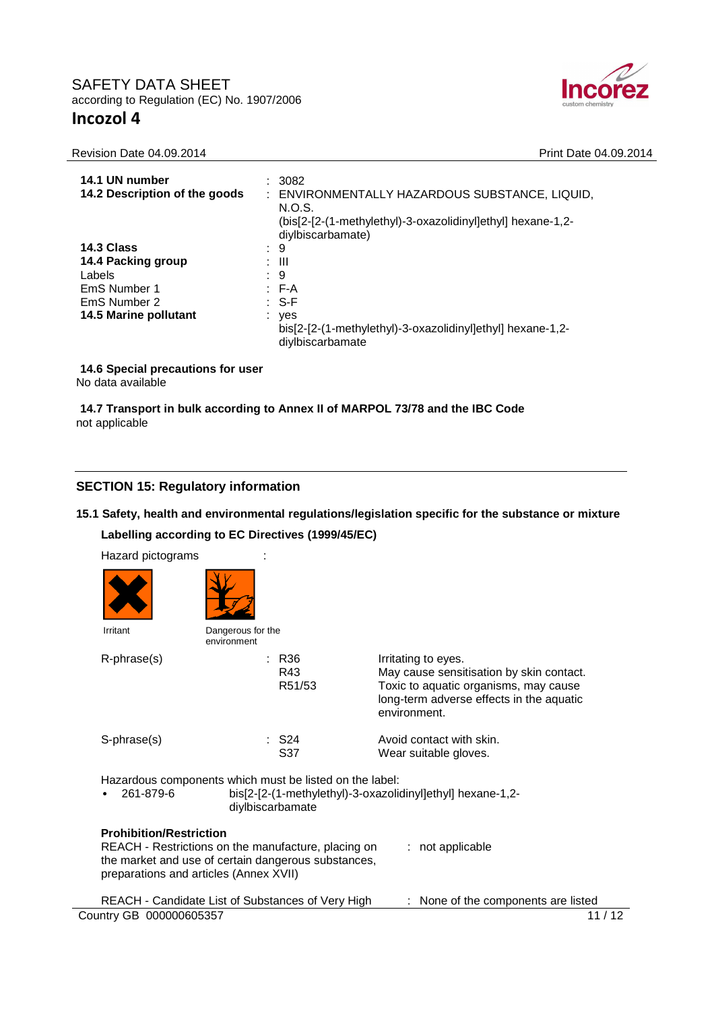

| 14.1 UN number |  | : 3082 |
|----------------|--|--------|
|                |  |        |

Revision Date 04.09.2014 **Print Date 04.09.2014** 

| 14.1 UN number<br>14.2 Description of the goods                                                     | : 3082<br>: ENVIRONMENTALLY HAZARDOUS SUBSTANCE, LIQUID,<br>N.O.S.<br>(bis[2-[2-(1-methylethyl)-3-oxazolidinyl]ethyl] hexane-1,2-<br>diylbiscarbamate) |
|-----------------------------------------------------------------------------------------------------|--------------------------------------------------------------------------------------------------------------------------------------------------------|
| 14.3 Class<br>14.4 Packing group<br>Labels<br>EmS Number 1<br>EmS Number 2<br>14.5 Marine pollutant | : 9<br>: III<br>: 9<br>$E - A$<br>: S-F<br>$:$ yes<br>bis[2-[2-(1-methylethyl)-3-oxazolidinyl]ethyl] hexane-1,2-<br>diylbiscarbamate                   |

# **14.6 Special precautions for user**

No data available

## **14.7 Transport in bulk according to Annex II of MARPOL 73/78 and the IBC Code** not applicable

# **SECTION 15: Regulatory information**

# **15.1 Safety, health and environmental regulations/legislation specific for the substance or mixture Labelling according to EC Directives (1999/45/EC)**

| Hazard pictograms                                                        |                                  |                                                                                                            |                                                                                                                                                                      |            |
|--------------------------------------------------------------------------|----------------------------------|------------------------------------------------------------------------------------------------------------|----------------------------------------------------------------------------------------------------------------------------------------------------------------------|------------|
|                                                                          |                                  |                                                                                                            |                                                                                                                                                                      |            |
| Irritant                                                                 | Dangerous for the<br>environment |                                                                                                            |                                                                                                                                                                      |            |
| R-phrase(s)                                                              |                                  | $:$ R <sub>36</sub><br>R43<br>R51/53                                                                       | Irritating to eyes.<br>May cause sensitisation by skin contact.<br>Toxic to aquatic organisms, may cause<br>long-term adverse effects in the aquatic<br>environment. |            |
| S-phrase(s)                                                              |                                  | : S24<br>S <sub>37</sub>                                                                                   | Avoid contact with skin.<br>Wear suitable gloves.                                                                                                                    |            |
| 261-879-6                                                                | diylbiscarbamate                 | Hazardous components which must be listed on the label:                                                    | bis[2-[2-(1-methylethyl)-3-oxazolidinyl]ethyl] hexane-1,2-                                                                                                           |            |
| <b>Prohibition/Restriction</b><br>preparations and articles (Annex XVII) |                                  | REACH - Restrictions on the manufacture, placing on<br>the market and use of certain dangerous substances, | : not applicable                                                                                                                                                     |            |
|                                                                          |                                  | REACH - Candidate List of Substances of Very High                                                          | None of the components are listed                                                                                                                                    |            |
| Country GB 000000605357                                                  |                                  |                                                                                                            |                                                                                                                                                                      | 11<br>/ 12 |